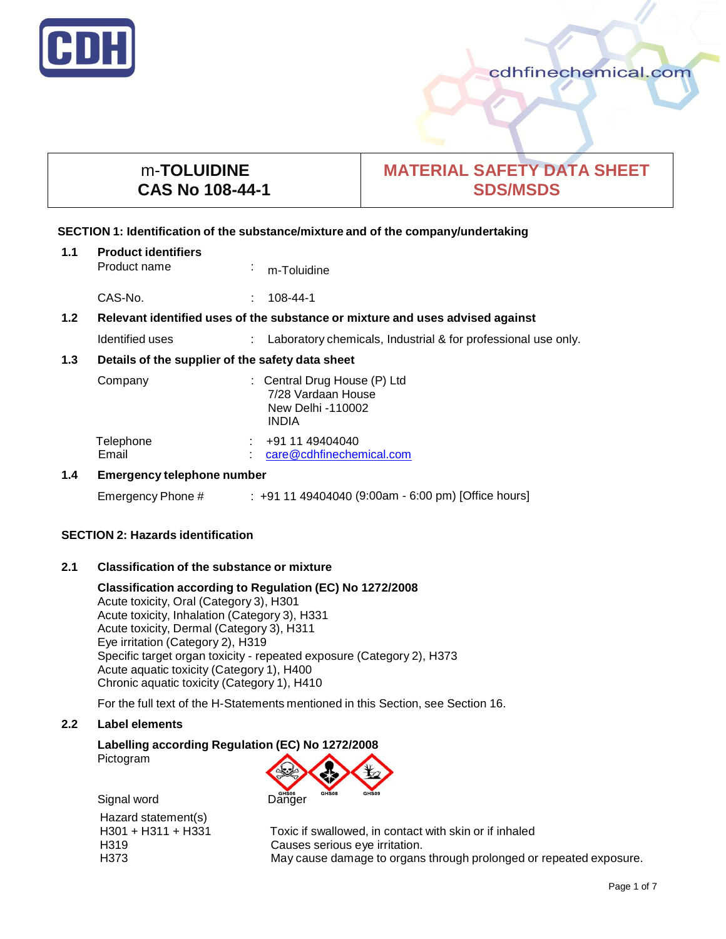

# m-**TOLUIDINE CAS No 108-44-1**

# **MATERIAL SAFETY DATA SHEET SDS/MSDS**

# **SECTION 1: Identification of the substance/mixture and of the company/undertaking**

| 1.1                                                                                               | <b>Product identifiers</b><br>Product name |  | m-Toluidine                                                                             |
|---------------------------------------------------------------------------------------------------|--------------------------------------------|--|-----------------------------------------------------------------------------------------|
|                                                                                                   | CAS-No.                                    |  | 108-44-1                                                                                |
| 1.2 <sub>2</sub><br>Relevant identified uses of the substance or mixture and uses advised against |                                            |  |                                                                                         |
|                                                                                                   | Identified uses                            |  | : Laboratory chemicals, Industrial & for professional use only.                         |
| 1.3<br>Details of the supplier of the safety data sheet                                           |                                            |  |                                                                                         |
|                                                                                                   | Company                                    |  | : Central Drug House (P) Ltd<br>7/28 Vardaan House<br>New Delhi -110002<br><b>INDIA</b> |
|                                                                                                   | Telephone<br>Email                         |  | +91 11 49404040<br>care@cdhfinechemical.com                                             |
| 1.4                                                                                               | <b>Emergency telephone number</b>          |  |                                                                                         |
|                                                                                                   | Emergency Phone #                          |  | $: +91149404040$ (9:00am - 6:00 pm) [Office hours]                                      |

# **SECTION 2: Hazards identification**

## **2.1 Classification of the substance or mixture**

#### **Classification according to Regulation (EC) No 1272/2008** Acute toxicity, Oral (Category 3), H301 Acute toxicity, Inhalation (Category 3), H331 Acute toxicity, Dermal (Category 3), H311

Eye irritation (Category 2), H319 Specific target organ toxicity - repeated exposure (Category 2), H373 Acute aquatic toxicity (Category 1), H400 Chronic aquatic toxicity (Category 1), H410

For the full text of the H-Statements mentioned in this Section, see Section 16.

## **2.2 Label elements**

# **Labelling according Regulation (EC) No 1272/2008**

Pictogram

Signal word Danger Hazard statement(s)

H301 + H311 + H331 Toxic if swallowed, in contact with skin or if inhaled H319 Causes serious eye irritation. H373 May cause damage to organs through prolonged or repeated exposure.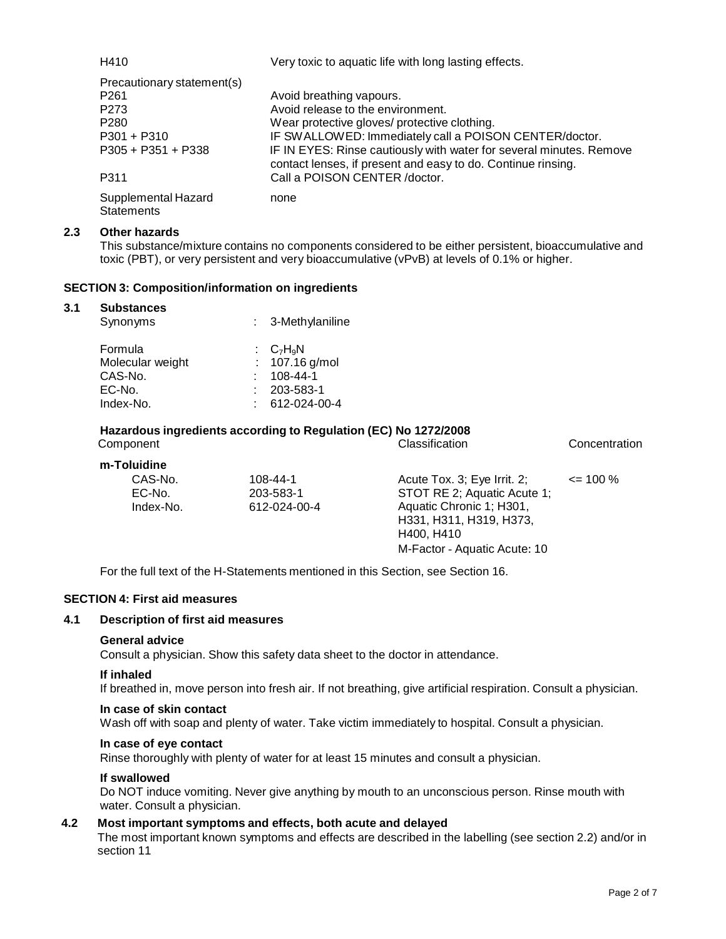| H410                                                                                   | Very toxic to aquatic life with long lasting effects.                                                                                                                                         |
|----------------------------------------------------------------------------------------|-----------------------------------------------------------------------------------------------------------------------------------------------------------------------------------------------|
| Precautionary statement(s)<br>P <sub>261</sub><br>P <sub>273</sub><br>P <sub>280</sub> | Avoid breathing vapours.<br>Avoid release to the environment.<br>Wear protective gloves/ protective clothing.                                                                                 |
| $P301 + P310$<br>$P305 + P351 + P338$                                                  | IF SWALLOWED: Immediately call a POISON CENTER/doctor.<br>IF IN EYES: Rinse cautiously with water for several minutes. Remove<br>contact lenses, if present and easy to do. Continue rinsing. |
| P311                                                                                   | Call a POISON CENTER /doctor.                                                                                                                                                                 |
| Supplemental Hazard<br><b>Statements</b>                                               | none                                                                                                                                                                                          |

# **2.3 Other hazards**

This substance/mixture contains no components considered to be either persistent, bioaccumulative and toxic (PBT), or very persistent and very bioaccumulative (vPvB) at levels of 0.1% or higher.

#### **SECTION 3: Composition/information on ingredients**

#### **3.1 Substances**

| Synonyms         | : 3-Methylaniline |
|------------------|-------------------|
| Formula          | : $C_7H_9N$       |
| Molecular weight | : $107.16$ g/mol  |
| CAS-No.          | $108 - 44 - 1$    |
| EC-No.           | $: 203 - 583 - 1$ |
| Index-No.        | 612-024-00-4      |

# **Hazardous ingredients according to Regulation (EC) No 1272/2008**

| Component   |              | Classification               | Concentration |
|-------------|--------------|------------------------------|---------------|
| m-Toluidine |              |                              |               |
| CAS-No.     | 108-44-1     | Acute Tox. 3; Eye Irrit. 2;  | $\leq$ 100 %  |
| EC-No.      | 203-583-1    | STOT RE 2; Aquatic Acute 1;  |               |
| Index-No.   | 612-024-00-4 | Aquatic Chronic 1; H301,     |               |
|             |              | H331, H311, H319, H373,      |               |
|             |              | H400, H410                   |               |
|             |              | M-Factor - Aquatic Acute: 10 |               |
|             |              |                              |               |

For the full text of the H-Statements mentioned in this Section, see Section 16.

#### **SECTION 4: First aid measures**

#### **4.1 Description of first aid measures**

#### **General advice**

Consult a physician. Show this safety data sheet to the doctor in attendance.

#### **If inhaled**

If breathed in, move person into fresh air. If not breathing, give artificial respiration. Consult a physician.

#### **In case of skin contact**

Wash off with soap and plenty of water. Take victim immediately to hospital. Consult a physician.

#### **In case of eye contact**

Rinse thoroughly with plenty of water for at least 15 minutes and consult a physician.

#### **If swallowed**

Do NOT induce vomiting. Never give anything by mouth to an unconscious person. Rinse mouth with water. Consult a physician.

# **4.2 Most important symptoms and effects, both acute and delayed**

The most important known symptoms and effects are described in the labelling (see section 2.2) and/or in section 11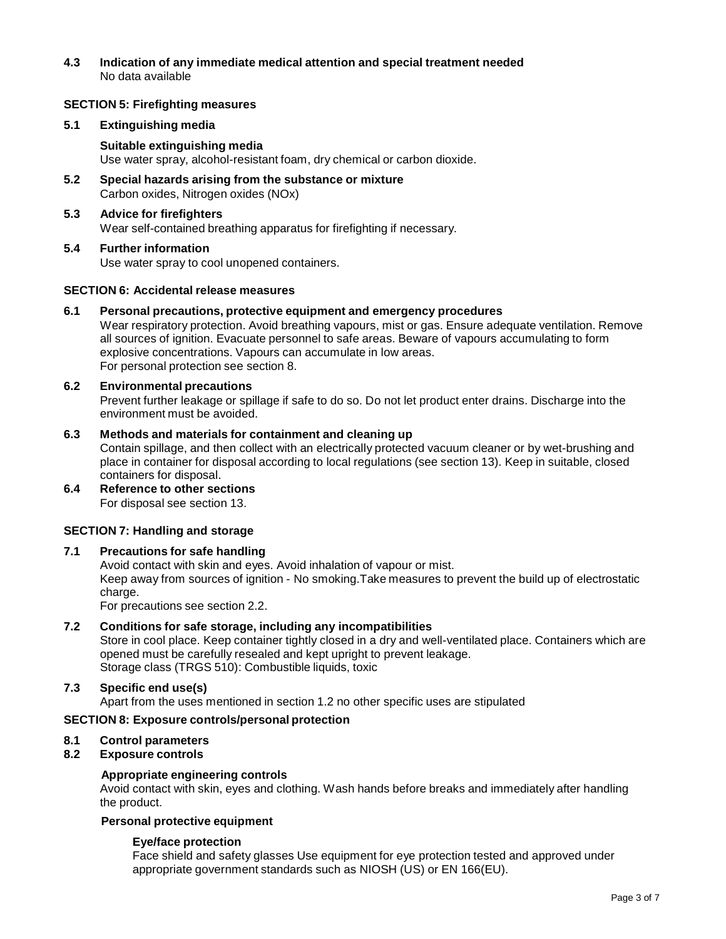# **4.3 Indication of any immediate medical attention and special treatment needed** No data available

# **SECTION 5: Firefighting measures**

# **5.1 Extinguishing media**

**Suitable extinguishing media** Use water spray, alcohol-resistant foam, dry chemical or carbon dioxide.

- **5.2 Special hazards arising from the substance or mixture** Carbon oxides, Nitrogen oxides (NOx)
- **5.3 Advice for firefighters** Wear self-contained breathing apparatus for firefighting if necessary.
- **5.4 Further information** Use water spray to cool unopened containers.

# **SECTION 6: Accidental release measures**

# **6.1 Personal precautions, protective equipment and emergency procedures**

Wear respiratory protection. Avoid breathing vapours, mist or gas. Ensure adequate ventilation. Remove all sources of ignition. Evacuate personnel to safe areas. Beware of vapours accumulating to form explosive concentrations. Vapours can accumulate in low areas. For personal protection see section 8.

## **6.2 Environmental precautions**

Prevent further leakage or spillage if safe to do so. Do not let product enter drains. Discharge into the environment must be avoided.

## **6.3 Methods and materials for containment and cleaning up**

Contain spillage, and then collect with an electrically protected vacuum cleaner or by wet-brushing and place in container for disposal according to local regulations (see section 13). Keep in suitable, closed containers for disposal.

**6.4 Reference to other sections** For disposal see section 13.

# **SECTION 7: Handling and storage**

# **7.1 Precautions for safe handling**

Avoid contact with skin and eyes. Avoid inhalation of vapour or mist. Keep away from sources of ignition - No smoking.Take measures to prevent the build up of electrostatic charge.

For precautions see section 2.2.

# **7.2 Conditions for safe storage, including any incompatibilities**

Store in cool place. Keep container tightly closed in a dry and well-ventilated place. Containers which are opened must be carefully resealed and kept upright to prevent leakage. Storage class (TRGS 510): Combustible liquids, toxic

# **7.3 Specific end use(s)**

Apart from the uses mentioned in section 1.2 no other specific uses are stipulated

## **SECTION 8: Exposure controls/personal protection**

## **8.1 Control parameters**

## **8.2 Exposure controls**

## **Appropriate engineering controls**

Avoid contact with skin, eyes and clothing. Wash hands before breaks and immediately after handling the product.

# **Personal protective equipment**

# **Eye/face protection**

Face shield and safety glasses Use equipment for eye protection tested and approved under appropriate government standards such as NIOSH (US) or EN 166(EU).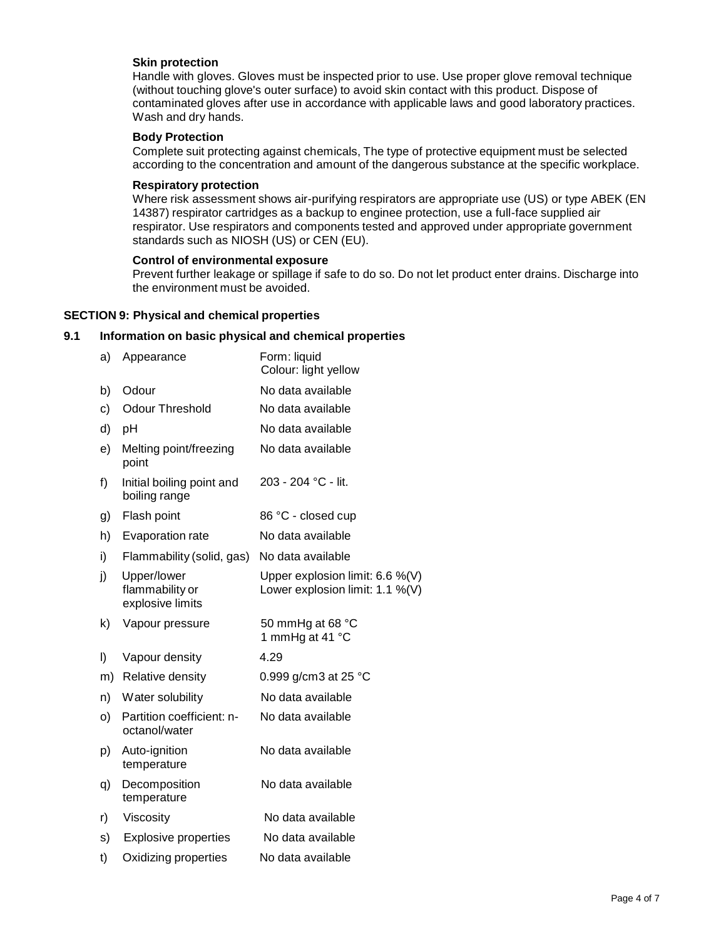# **Skin protection**

Handle with gloves. Gloves must be inspected prior to use. Use proper glove removal technique (without touching glove's outer surface) to avoid skin contact with this product. Dispose of contaminated gloves after use in accordance with applicable laws and good laboratory practices. Wash and dry hands.

#### **Body Protection**

Complete suit protecting against chemicals, The type of protective equipment must be selected according to the concentration and amount of the dangerous substance at the specific workplace.

#### **Respiratory protection**

Where risk assessment shows air-purifying respirators are appropriate use (US) or type ABEK (EN 14387) respirator cartridges as a backup to enginee protection, use a full-face supplied air respirator. Use respirators and components tested and approved under appropriate government standards such as NIOSH (US) or CEN (EU).

#### **Control of environmental exposure**

Prevent further leakage or spillage if safe to do so. Do not let product enter drains. Discharge into the environment must be avoided.

#### **SECTION 9: Physical and chemical properties**

# **9.1 Information on basic physical and chemical properties**

| a) | Appearance                                         | Form: liquid<br>Colour: light yellow                                  |
|----|----------------------------------------------------|-----------------------------------------------------------------------|
| b) | Odour                                              | No data available                                                     |
| c) | <b>Odour Threshold</b>                             | No data available                                                     |
| d) | pH                                                 | No data available                                                     |
| e) | Melting point/freezing<br>point                    | No data available                                                     |
| f) | Initial boiling point and<br>boiling range         | 203 - 204 °C - lit.                                                   |
| g) | Flash point                                        | 86 °C - closed cup                                                    |
| h) | Evaporation rate                                   | No data available                                                     |
| i) | Flammability (solid, gas)                          | No data available                                                     |
| j) | Upper/lower<br>flammability or<br>explosive limits | Upper explosion limit: $6.6\%$ (V)<br>Lower explosion limit: 1.1 %(V) |
| k) | Vapour pressure                                    | 50 mmHg at 68 °C<br>1 mmHg at 41 °C                                   |
| I) | Vapour density                                     | 4.29                                                                  |
| m) | Relative density                                   | 0.999 g/cm3 at 25 °C                                                  |
| n) | Water solubility                                   | No data available                                                     |
| o) | Partition coefficient: n-<br>octanol/water         | No data available                                                     |
| p) | Auto-ignition<br>temperature                       | No data available                                                     |
| q) | Decomposition<br>temperature                       | No data available                                                     |
| r) | Viscosity                                          | No data available                                                     |
| s) | <b>Explosive properties</b>                        | No data available                                                     |
| t) | Oxidizing properties                               | No data available                                                     |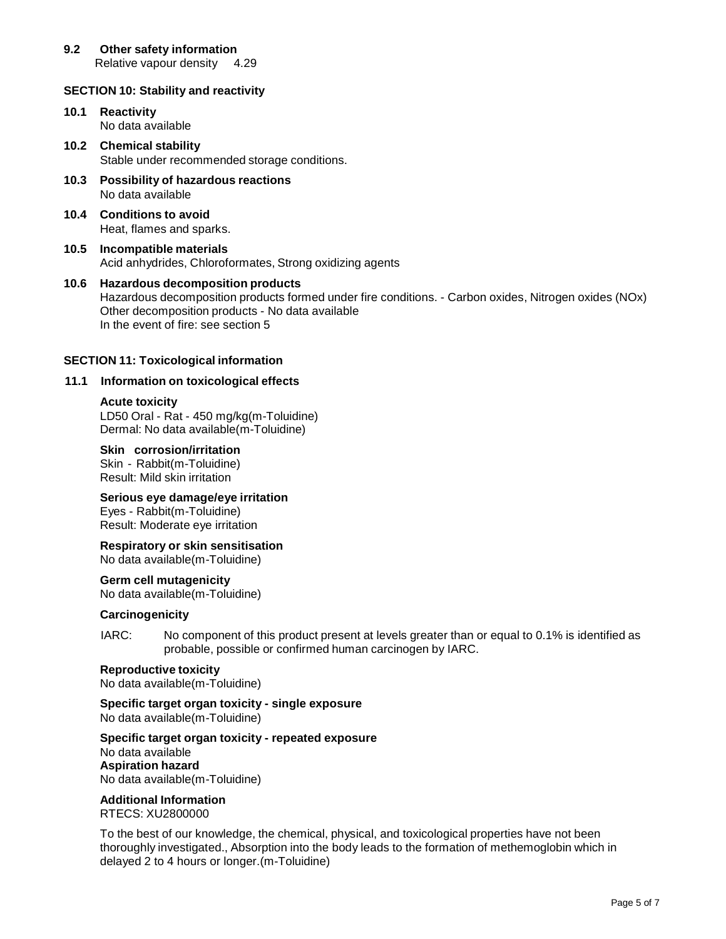# **9.2 Other safety information**

Relative vapour density 4.29

# **SECTION 10: Stability and reactivity**

- **10.1 Reactivity** No data available
- **10.2 Chemical stability** Stable under recommended storage conditions.
- **10.3 Possibility of hazardous reactions** No data available
- **10.4 Conditions to avoid** Heat, flames and sparks.
- **10.5 Incompatible materials** Acid anhydrides, Chloroformates, Strong oxidizing agents
- **10.6 Hazardous decomposition products** Hazardous decomposition products formed under fire conditions. - Carbon oxides, Nitrogen oxides (NOx) Other decomposition products - No data available In the event of fire: see section 5

# **SECTION 11: Toxicological information**

# **11.1 Information on toxicological effects**

## **Acute toxicity**

LD50 Oral - Rat - 450 mg/kg(m-Toluidine) Dermal: No data available(m-Toluidine)

## **Skin corrosion/irritation**

Skin - Rabbit(m-Toluidine) Result: Mild skin irritation

# **Serious eye damage/eye irritation**

Eyes - Rabbit(m-Toluidine) Result: Moderate eye irritation

# **Respiratory or skin sensitisation**

No data available(m-Toluidine)

## **Germ cell mutagenicity**

No data available(m-Toluidine)

## **Carcinogenicity**

IARC: No component of this product present at levels greater than or equal to 0.1% is identified as probable, possible or confirmed human carcinogen by IARC.

# **Reproductive toxicity**

No data available(m-Toluidine)

#### **Specific target organ toxicity - single exposure** No data available(m-Toluidine)

## **Specific target organ toxicity - repeated exposure**

No data available **Aspiration hazard** No data available(m-Toluidine)

#### **Additional Information** RTECS: XU2800000

To the best of our knowledge, the chemical, physical, and toxicological properties have not been thoroughly investigated., Absorption into the body leads to the formation of methemoglobin which in delayed 2 to 4 hours or longer.(m-Toluidine)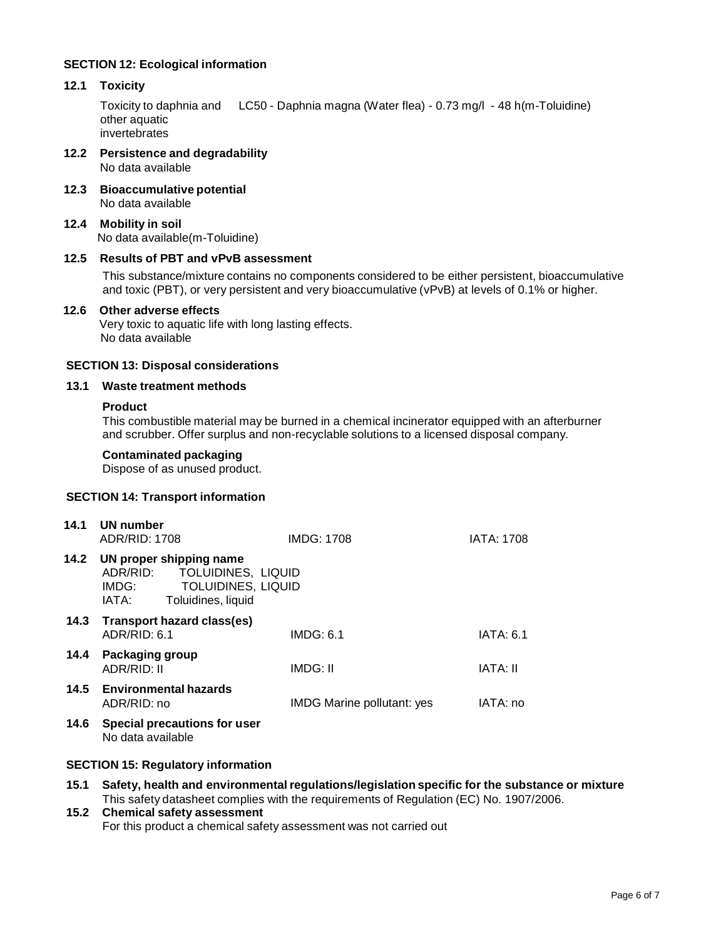# **SECTION 12: Ecological information**

# **12.1 Toxicity**

Toxicity to daphnia and LC50 - Daphnia magna (Water flea) - 0.73 mg/l - 48 h(m-Toluidine) other aquatic invertebrates

- **12.2 Persistence and degradability** No data available
- **12.3 Bioaccumulative potential** No data available
- **12.4 Mobility in soil** No data available(m-Toluidine)

# **12.5 Results of PBT and vPvB assessment**

This substance/mixture contains no components considered to be either persistent, bioaccumulative and toxic (PBT), or very persistent and very bioaccumulative (vPvB) at levels of 0.1% or higher.

#### **12.6 Other adverse effects**

Very toxic to aquatic life with long lasting effects. No data available

## **SECTION 13: Disposal considerations**

#### **13.1 Waste treatment methods**

#### **Product**

This combustible material may be burned in a chemical incinerator equipped with an afterburner and scrubber. Offer surplus and non-recyclable solutions to a licensed disposal company.

#### **Contaminated packaging**

Dispose of as unused product.

## **SECTION 14: Transport information**

| 14.1 | UN number<br>ADR/RID: 1708                                                                                                     | <b>IMDG: 1708</b>                 | <b>IATA: 1708</b> |
|------|--------------------------------------------------------------------------------------------------------------------------------|-----------------------------------|-------------------|
| 14.2 | UN proper shipping name<br>ADR/RID:<br>TOLUIDINES, LIQUID<br><b>TOLUIDINES, LIQUID</b><br>IMDG:<br>Toluidines, liquid<br>IATA: |                                   |                   |
| 14.3 | <b>Transport hazard class(es)</b><br>ADR/RID: 6.1                                                                              | IMDG: 6.1                         | IATA: 6.1         |
| 14.4 | <b>Packaging group</b><br>ADR/RID: II                                                                                          | IMDG: II                          | <b>IATA: II</b>   |
|      | 14.5 Environmental hazards<br>ADR/RID: no                                                                                      | <b>IMDG Marine pollutant: yes</b> | IATA: no          |
| 14.6 | <b>Special precautions for user</b><br>No data available                                                                       |                                   |                   |

## **SECTION 15: Regulatory information**

**15.1 Safety, health and environmental regulations/legislation specific for the substance or mixture** This safety datasheet complies with the requirements of Regulation (EC) No. 1907/2006.

## **15.2 Chemical safety assessment** For this product a chemical safety assessment was not carried out